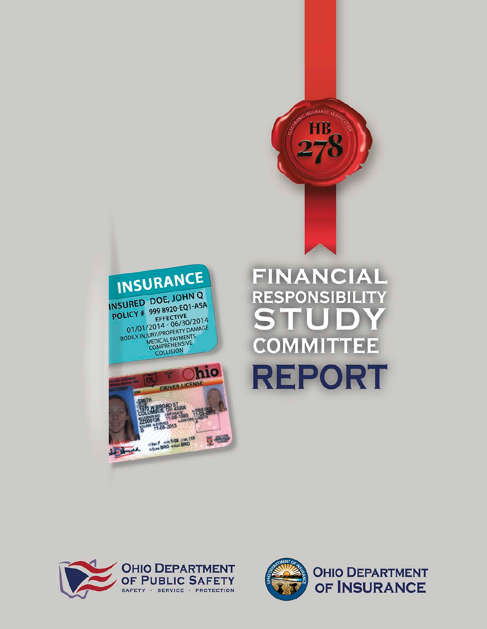



# FINANCIAL **RESPONSIBILITY COMMITTEE REPORT**



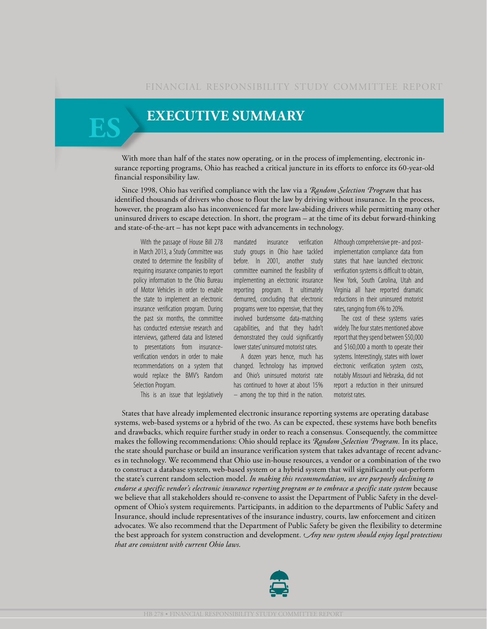### **EXECUTIVE SUMMARY**

With more than half of the states now operating, or in the process of implementing, electronic insurance reporting programs, Ohio has reached a critical juncture in its efforts to enforce its 60-year-old financial responsibility law.

Since 1998, Ohio has verified compliance with the law via a *Random Selection Program* that has identified thousands of drivers who chose to flout the law by driving without insurance. In the process, however, the program also has inconvenienced far more law-abiding drivers while permitting many other uninsured drivers to escape detection. In short, the program – at the time of its debut forward-thinking and state-of-the-art – has not kept pace with advancements in technology.

With the passage of House Bill 278 in March 2013, a Study Committee was created to determine the feasibility of requiring insurance companies to report policy information to the Ohio Bureau of Motor Vehicles in order to enable the state to implement an electronic insurance verification program. During the past six months, the committee has conducted extensive research and interviews, gathered data and listened to presentations from insuranceverification vendors in order to make recommendations on a system that would replace the BMV's Random Selection Program.

This is an issue that legislatively

mandated insurance verification study groups in Ohio have tackled before. In 2001, another study committee examined the feasibility of implementing an electronic insurance reporting program. It ultimately demurred, concluding that electronic programs were too expensive, that they involved burdensome data-matching capabilities, and that they hadn't demonstrated they could significantly lower states' uninsured motorist rates.

A dozen years hence, much has changed. Technology has improved and Ohio's uninsured motorist rate has continued to hover at about 15% – among the top third in the nation.

Although comprehensive pre- and postimplementation compliance data from states that have launched electronic verification systems is difficult to obtain, New York, South Carolina, Utah and Virginia all have reported dramatic reductions in their uninsured motorist rates, ranging from 6% to 20%.

The cost of these systems varies widely. The four states mentioned above report that they spend between \$50,000 and \$160,000 a month to operate their systems. Interestingly, states with lower electronic verification system costs, notably Missouri and Nebraska, did not report a reduction in their uninsured motorist rates.

States that have already implemented electronic insurance reporting systems are operating database systems, web-based systems or a hybrid of the two. As can be expected, these systems have both benefits and drawbacks, which require further study in order to reach a consensus. Consequently, the committee makes the following recommendations: Ohio should replace its *Random Selection Program.* In its place, the state should purchase or build an insurance verification system that takes advantage of recent advances in technology. We recommend that Ohio use in-house resources, a vendor or a combination of the two to construct a database system, web-based system or a hybrid system that will significantly out-perform the state's current random selection model. *In making this recommendation, we are purposely declining to endorse a specific vendor's electronic insurance reporting program or to embrace a specific state system* because we believe that all stakeholders should re-convene to assist the Department of Public Safety in the development of Ohio's system requirements. Participants, in addition to the departments of Public Safety and Insurance, should include representatives of the insurance industry, courts, law enforcement and citizen advocates. We also recommend that the Department of Public Safety be given the flexibility to determine the best approach for system construction and development. *Any new system should enjoy legal protections that are consistent with current Ohio laws.*

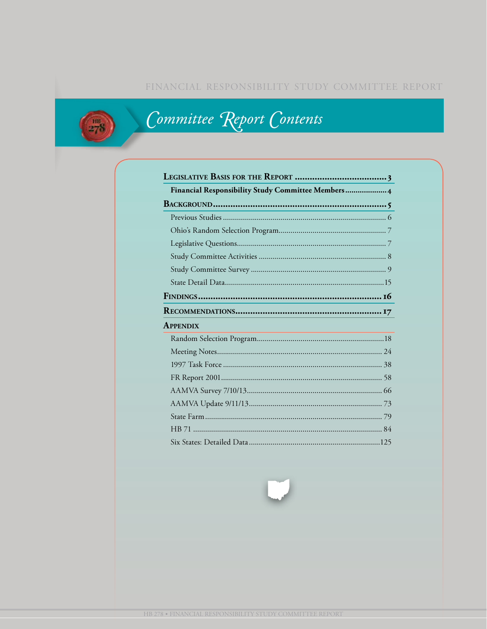### FINANCIAL RESPONSIBILITY STUDY COMMITTEE REPORT



# Committee Report Contents

| Financial Responsibility Study Committee Members 4                           |  |
|------------------------------------------------------------------------------|--|
|                                                                              |  |
|                                                                              |  |
|                                                                              |  |
|                                                                              |  |
|                                                                              |  |
|                                                                              |  |
|                                                                              |  |
|                                                                              |  |
|                                                                              |  |
| <b>APPENDIX</b><br><u> 1980 - John Stone, Amerikaansk politiker (* 1918)</u> |  |
|                                                                              |  |
|                                                                              |  |
|                                                                              |  |
|                                                                              |  |
|                                                                              |  |
|                                                                              |  |
|                                                                              |  |
|                                                                              |  |
|                                                                              |  |

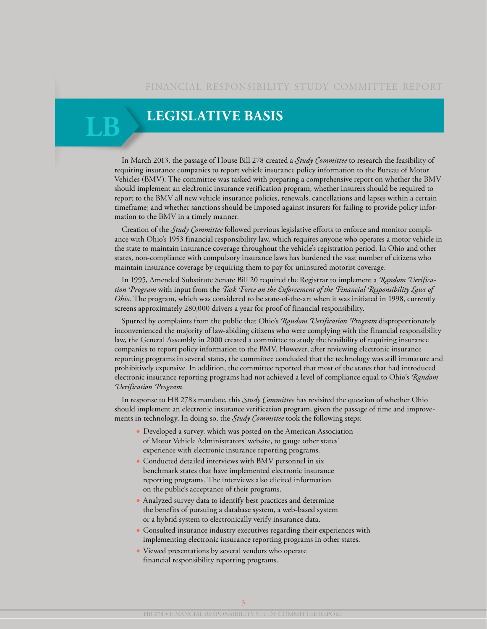### **Legislative Basis**

**LB**

In March 2013, the passage of House Bill 278 created a *Study Committee* to research the feasibility of requiring insurance companies to report vehicle insurance policy information to the Bureau of Motor Vehicles (BMV). The committee was tasked with preparing a comprehensive report on whether the BMV should implement an electronic insurance verification program; whether insurers should be required to report to the BMV all new vehicle insurance policies, renewals, cancellations and lapses within a certain timeframe; and whether sanctions should be imposed against insurers for failing to provide policy information to the BMV in a timely manner.

Creation of the *Study Committee* followed previous legislative efforts to enforce and monitor compliance with Ohio's 1953 financial responsibility law, which requires anyone who operates a motor vehicle in the state to maintain insurance coverage throughout the vehicle's registration period. In Ohio and other states, non-compliance with compulsory insurance laws has burdened the vast number of citizens who maintain insurance coverage by requiring them to pay for uninsured motorist coverage.

In 1995, Amended Substitute Senate Bill 20 required the Registrar to implement a *Random Verification Program* with input from the *Task Force on the Enforcement of the Financial Responsibility Laws of Ohio*. The program, which was considered to be state-of-the-art when it was initiated in 1998, currently screens approximately 280,000 drivers a year for proof of financial responsibility.

Spurred by complaints from the public that Ohio's *Random Verification Program* disproportionately inconvenienced the majority of law-abiding citizens who were complying with the financial responsibility law, the General Assembly in 2000 created a committee to study the feasibility of requiring insurance companies to report policy information to the BMV. However, after reviewing electronic insurance reporting programs in several states, the committee concluded that the technology was still immature and prohibitively expensive. In addition, the committee reported that most of the states that had introduced electronic insurance reporting programs had not achieved a level of compliance equal to Ohio's *Random Verification Program*.

In response to HB 278's mandate, this *Study Committee* has revisited the question of whether Ohio should implement an electronic insurance verification program, given the passage of time and improvements in technology. In doing so, the *Study Committee* took the following steps:

- **•** Developed a survey, which was posted on the American Association of Motor Vehicle Administrators' website, to gauge other states' experience with electronic insurance reporting programs.
- **•** Conducted detailed interviews with BMV personnel in six benchmark states that have implemented electronic insurance reporting programs. The interviews also elicited information on the public's acceptance of their programs.
- **•** Analyzed survey data to identify best practices and determine the benefits of pursuing a database system, a web-based system or a hybrid system to electronically verify insurance data.
- **•** Consulted insurance industry executives regarding their experiences with implementing electronic insurance reporting programs in other states.
- **•** Viewed presentations by several vendors who operate financial responsibility reporting programs.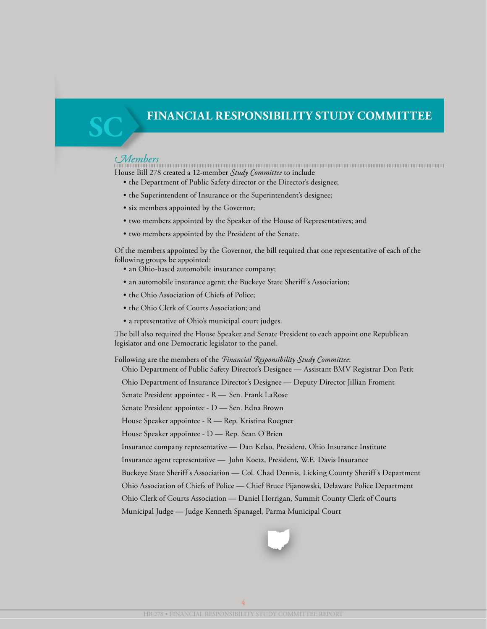**SC**

*Members* House Bill 278 created a 12-member *Study Committee* to include

- the Department of Public Safety director or the Director's designee;
- the Superintendent of Insurance or the Superintendent's designee;
- six members appointed by the Governor;
- two members appointed by the Speaker of the House of Representatives; and
- two members appointed by the President of the Senate.

Of the members appointed by the Governor, the bill required that one representative of each of the following groups be appointed:

- an Ohio-based automobile insurance company;
- an automobile insurance agent; the Buckeye State Sheriff's Association;
- the Ohio Association of Chiefs of Police;
- the Ohio Clerk of Courts Association; and
- a representative of Ohio's municipal court judges.

The bill also required the House Speaker and Senate President to each appoint one Republican legislator and one Democratic legislator to the panel.

Following are the members of the *Financial Responsibility Study Committee*:

Ohio Department of Public Safety Director's Designee — Assistant BMV Registrar Don Petit

Ohio Department of Insurance Director's Designee — Deputy Director Jillian Froment

Senate President appointee - R — Sen. Frank LaRose

Senate President appointee - D — Sen. Edna Brown

House Speaker appointee - R — Rep. Kristina Roegner

House Speaker appointee - D — Rep. Sean O'Brien

Insurance company representative — Dan Kelso, President, Ohio Insurance Institute

Insurance agent representative — John Koetz, President, W.E. Davis Insurance

Buckeye State Sheriff's Association — Col. Chad Dennis, Licking County Sheriff's Department

Ohio Association of Chiefs of Police — Chief Bruce Pijanowski, Delaware Police Department

Ohio Clerk of Courts Association — Daniel Horrigan, Summit County Clerk of Courts

Municipal Judge — Judge Kenneth Spanagel, Parma Municipal Court

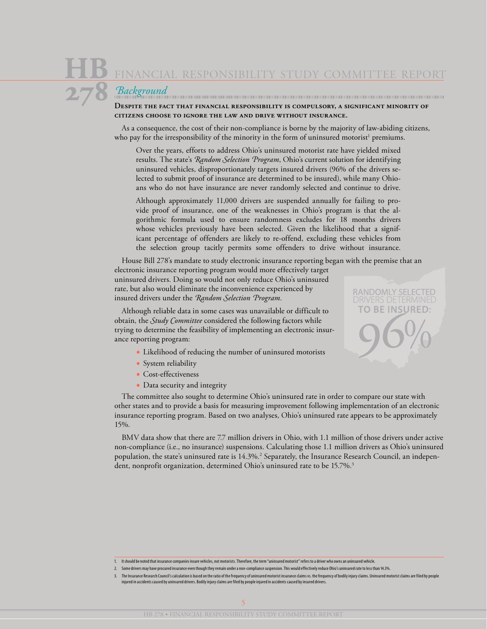*Background* **Despite the fact that financial responsibility is compulsory, a significant minority of citizens choose to ignore the law and drive without insurance.**

As a consequence, the cost of their non-compliance is borne by the majority of law-abiding citizens, who pay for the irresponsibility of the minority in the form of uninsured motorist<sup>1</sup> premiums.

Over the years, efforts to address Ohio's uninsured motorist rate have yielded mixed results. The state's *Random Selection Program*, Ohio's current solution for identifying uninsured vehicles, disproportionately targets insured drivers (96% of the drivers selected to submit proof of insurance are determined to be insured), while many Ohioans who do not have insurance are never randomly selected and continue to drive.

Although approximately 11,000 drivers are suspended annually for failing to provide proof of insurance, one of the weaknesses in Ohio's program is that the algorithmic formula used to ensure randomness excludes for 18 months drivers whose vehicles previously have been selected. Given the likelihood that a significant percentage of offenders are likely to re-offend, excluding these vehicles from the selection group tacitly permits some offenders to drive without insurance.

House Bill 278's mandate to study electronic insurance reporting began with the premise that an electronic insurance reporting program would more effectively target uninsured drivers. Doing so would not only reduce Ohio's uninsured rate, but also would eliminate the inconvenience experienced by insured drivers under the *Random Selection Program*.

Although reliable data in some cases was unavailable or difficult to obtain, the *Study Committee* considered the following factors while trying to determine the feasibility of implementing an electronic insurance reporting program:

- **•** Likelihood of reducing the number of uninsured motorists
- **•** System reliability
- **•** Cost-effectiveness
- Data security and integrity

The committee also sought to determine Ohio's uninsured rate in order to compare our state with other states and to provide a basis for measuring improvement following implementation of an electronic insurance reporting program. Based on two analyses, Ohio's uninsured rate appears to be approximately 15%.

BMV data show that there are 7.7 million drivers in Ohio, with 1.1 million of those drivers under active non-compliance (i.e., no insurance) suspensions. Calculating those 1.1 million drivers as Ohio's uninsured population, the state's uninsured rate is 14.3%.2 Separately, the Insurance Research Council, an independent, nonprofit organization, determined Ohio's uninsured rate to be 15.7%.<sup>3</sup>

3. The Insurance Research Council's calculation is based on the ratio of the frequency of uninsured motorist insurance claims vs. the frequency of bodily injury claims. Uninsured motorist claims are filed by people injured in accidents caused by uninsured drivers. Bodily injury claims are filed by people injured in accidents caused by insured drivers.



<sup>1.</sup> It should be noted that insurance companies insure vehicles, not motorists. Therefore, the term "uninsured motorist" refers to a driver who owns an uninsured vehicle.

<sup>2.</sup> Some drivers may have procured insurance even though they remain under a non-compliance suspension. This would effectively reduce Ohio's uninsured rate to less than 14.3%.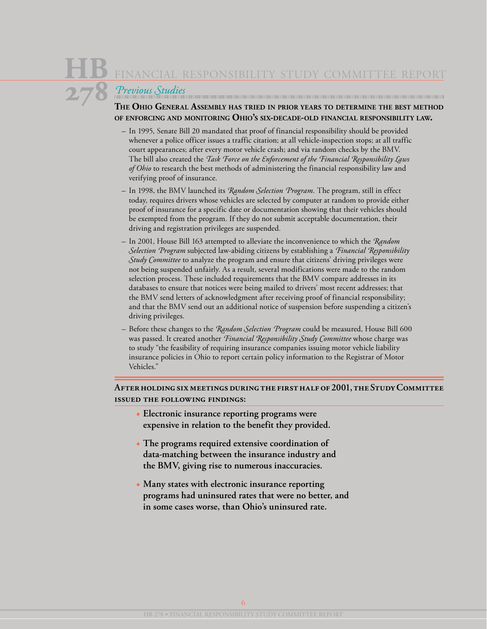*Previous Studies*

### **The Ohio General Assembly has tried in prior years to determine the best method of enforcing and monitoring Ohio's six-decade-old financial responsibility law.**

- In 1995, Senate Bill 20 mandated that proof of financial responsibility should be provided whenever a police officer issues a traffic citation; at all vehicle-inspection stops; at all traffic court appearances; after every motor vehicle crash; and via random checks by the BMV. The bill also created the *Task Force on the Enforcement of the Financial Responsibility Laws of Ohio* to research the best methods of administering the financial responsibility law and verifying proof of insurance.
- In 1998, the BMV launched its *Random Selection Program.* The program, still in effect today, requires drivers whose vehicles are selected by computer at random to provide either proof of insurance for a specific date or documentation showing that their vehicles should be exempted from the program. If they do not submit acceptable documentation, their driving and registration privileges are suspended.
- In 2001, House Bill 163 attempted to alleviate the inconvenience to which the *Random Selection Program* subjected law-abiding citizens by establishing a *Financial Responsibility Study Committee* to analyze the program and ensure that citizens' driving privileges were not being suspended unfairly. As a result, several modifications were made to the random selection process. These included requirements that the BMV compare addresses in its databases to ensure that notices were being mailed to drivers' most recent addresses; that the BMV send letters of acknowledgment after receiving proof of financial responsibility; and that the BMV send out an additional notice of suspension before suspending a citizen's driving privileges.
- Before these changes to the *Random Selection Program* could be measured, House Bill 600 was passed. It created another *Financial Responsibility Study Committee* whose charge was to study "the feasibility of requiring insurance companies issuing motor vehicle liability insurance policies in Ohio to report certain policy information to the Registrar of Motor Vehicles."

### **After holding six meetings during the first half of 2001, the Study Committee issued the following findings:**

- **• Electronic insurance reporting programs were expensive in relation to the benefit they provided.**
- **• The programs required extensive coordination of data-matching between the insurance industry and the BMV, giving rise to numerous inaccuracies.**
- **• Many states with electronic insurance reporting programs had uninsured rates that were no better, and in some cases worse, than Ohio's uninsured rate.**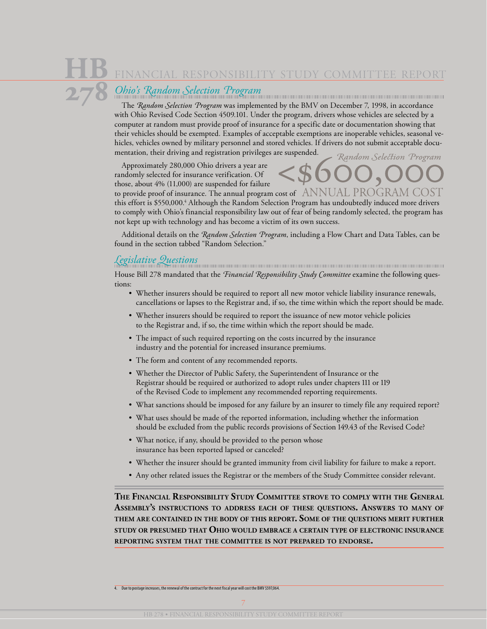### *Ohio's Random Selection Program*

The *Random Selection Program* was implemented by the BMV on December 7, 1998, in accordance with Ohio Revised Code Section 4509.101. Under the program, drivers whose vehicles are selected by a computer at random must provide proof of insurance for a specific date or documentation showing that their vehicles should be exempted. Examples of acceptable exemptions are inoperable vehicles, seasonal vehicles, vehicles owned by military personnel and stored vehicles. If drivers do not submit acceptable documentation, their driving and registration privileges are suspended. Random Selection Program

Approximately 280,000 Ohio drivers a year are randomly selected for insurance verification. Of those, about 4% (11,000) are suspended for failure

to provide proof of insurance. The annual program cost of  $\;$  ANNUAL PROGRAM ( this effort is \$550,000.4 Although the Random Selection Program has undoubtedly induced more drivers to comply with Ohio's financial responsibility law out of fear of being randomly selected, the program has not kept up with technology and has become a victim of its own success.

Additional details on the *Random Selection Program*, including a Flow Chart and Data Tables, can be found in the section tabbed "Random Selection."

*Legislative Questions* House Bill 278 mandated that the *Financial Responsibility Study Committee* examine the following questions:

- Whether insurers should be required to report all new motor vehicle liability insurance renewals, cancellations or lapses to the Registrar and, if so, the time within which the report should be made.
- Whether insurers should be required to report the issuance of new motor vehicle policies to the Registrar and, if so, the time within which the report should be made.
- The impact of such required reporting on the costs incurred by the insurance industry and the potential for increased insurance premiums.
- The form and content of any recommended reports.
- Whether the Director of Public Safety, the Superintendent of Insurance or the Registrar should be required or authorized to adopt rules under chapters 111 or 119 of the Revised Code to implement any recommended reporting requirements.
- What sanctions should be imposed for any failure by an insurer to timely file any required report?
- What uses should be made of the reported information, including whether the information should be excluded from the public records provisions of Section 149.43 of the Revised Code?
- What notice, if any, should be provided to the person whose insurance has been reported lapsed or canceled?
- Whether the insurer should be granted immunity from civil liability for failure to make a report.
- Any other related issues the Registrar or the members of the Study Committee consider relevant.

**The Financial Responsibility Study Committee strove to comply with the General Assembly's instructions to address each of these questions. Answers to many of them are contained in the body of this report. Some of the questions merit further study or presumed that Ohio would embrace <sup>a</sup> certain type of electronic insurance reporting system that the committee is not prepared to endorse.**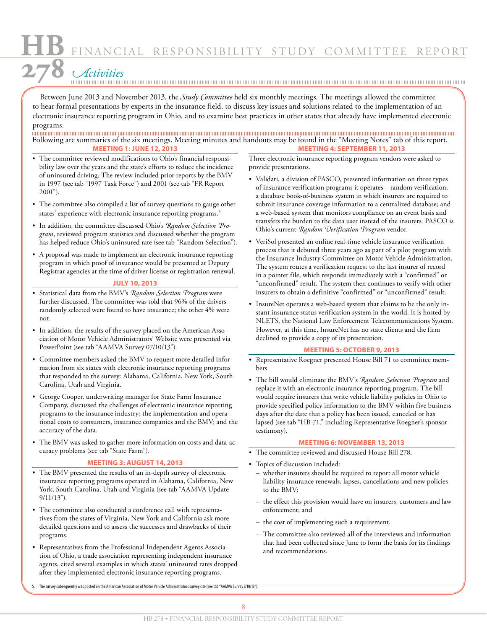FINANCIAL RESPONSIBILITY STUDY COMMIT

*Activities*

Between June 2013 and November 2013, the *Study Committee* held six monthly meetings. The meetings allowed the committee to hear formal presentations by experts in the insurance field, to discuss key issues and solutions related to the implementation of an electronic insurance reporting program in Ohio, and to examine best practices in other states that already have implemented electronic programs.

Following are summaries of the six meetings. Meeting minutes and handouts may be found in the "Meeting Notes" tab of this report. **Meeting 1: June 12, 2013 Meeting 4: September 11, 2013**

- The committee reviewed modifications to Ohio's financial responsibility law over the years and the state's efforts to reduce the incidence of uninsured driving. The review included prior reports by the BMV in 1997 (see tab "1997 Task Force") and 2001 (see tab "FR Report 2001").
- The committee also compiled a list of survey questions to gauge other states' experience with electronic insurance reporting programs.<sup>5</sup>
- In addition, the committee discussed Ohio's *Random Selection Program*, reviewed program statistics and discussed whether the program has helped reduce Ohio's uninsured rate (see tab "Random Selection").
- A proposal was made to implement an electronic insurance reporting program in which proof of insurance would be presented at Deputy Registrar agencies at the time of driver license or registration renewal.

#### **July 10, 2013**

- Statistical data from the BMV's *Random Selection Program* were further discussed. The committee was told that 96% of the drivers randomly selected were found to have insurance; the other 4% were not.
- In addition, the results of the survey placed on the American Association of Motor Vehicle Administrators' Website were presented via PowerPoint (see tab "AAMVA Survey 07/10/13").
- Committee members asked the BMV to request more detailed information from six states with electronic insurance reporting programs that responded to the survey: Alabama, California, New York, South Carolina, Utah and Virginia.
- George Cooper, underwriting manager for State Farm Insurance Company, discussed the challenges of electronic insurance reporting programs to the insurance industry; the implementation and operational costs to consumers, insurance companies and the BMV; and the accuracy of the data.
- The BMV was asked to gather more information on costs and data-accuracy problems (see tab "State Farm").

#### **Meeting 3: August 14, 2013**

- The BMV presented the results of an in-depth survey of electronic insurance reporting programs operated in Alabama, California, New York, South Carolina, Utah and Virginia (see tab "AAMVA Update 9/11/13").
- The committee also conducted a conference call with representatives from the states of Virginia, New York and California ask more detailed questions and to assess the successes and drawbacks of their programs.
- Representatives from the Professional Independent Agents Association of Ohio, a trade association representing independent insurance agents, cited several examples in which states' uninsured rates dropped after they implemented electronic insurance reporting programs.

Three electronic insurance reporting program vendors were asked to provide presentations.

- Validati, a division of PASCO, presented information on three types of insurance verification programs it operates – random verification; a database book-of-business system in which insurers are required to submit insurance coverage information to a centralized database; and a web-based system that monitors compliance on an event basis and transfers the burden to the data user instead of the insurers. PASCO is Ohio's current *Random Verification Program* vendor.
- VeriSol presented an online real-time vehicle insurance verification process that it debuted three years ago as part of a pilot program with the Insurance Industry Committee on Motor Vehicle Administration. The system routes a verification request to the last insurer of record in a pointer file, which responds immediately with a "confirmed" or "unconfirmed" result. The system then continues to verify with other insurers to obtain a definitive "confirmed" or "unconfirmed" result.
- InsureNet operates a web-based system that claims to be the only instant insurance status verification system in the world. It is hosted by NLETS, the National Law Enforcement Telecommunications System. However, at this time, InsureNet has no state clients and the firm declined to provide a copy of its presentation.

#### **Meeting 5: October 9, 2013**

- Representative Roegner presented House Bill 71 to committee members.
- The bill would eliminate the BMV's *Random Selection Program* and replace it with an electronic insurance reporting program. The bill would require insurers that write vehicle liability policies in Ohio to provide specified policy information to the BMV within five business days after the date that a policy has been issued, canceled or has lapsed (see tab "HB-71," including Representative Roegner's sponsor testimony).

#### **Meeting 6: November 13, 2013**

- The committee reviewed and discussed House Bill 278.
- Topics of discussion included:
	- whether insurers should be required to report all motor vehicle liability insurance renewals, lapses, cancellations and new policies to the BMV;
	- the effect this provision would have on insurers, customers and law enforcement; and
	- the cost of implementing such a requirement.
	- The committee also reviewed all of the interviews and information that had been collected since June to form the basis for its findings and recommendations.

5. The survey subsequently was posted on the American Association of Motor Vehicle Administrators survey site (see tab "AAMVA Survey 7/10/13").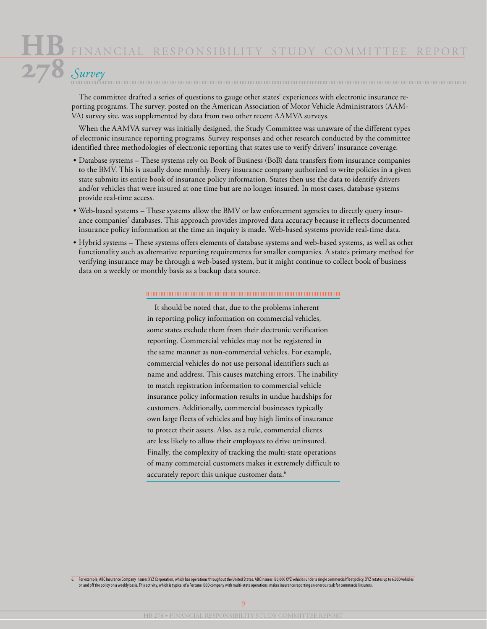The committee drafted a series of questions to gauge other states' experiences with electronic insurance reporting programs. The survey, posted on the American Association of Motor Vehicle Administrators (AAM-VA) survey site, was supplemented by data from two other recent AAMVA surveys.

When the AAMVA survey was initially designed, the Study Committee was unaware of the different types of electronic insurance reporting programs. Survey responses and other research conducted by the committee identified three methodologies of electronic reporting that states use to verify drivers' insurance coverage:

- Database systems These systems rely on Book of Business (BoB) data transfers from insurance companies to the BMV. This is usually done monthly. Every insurance company authorized to write policies in a given state submits its entire book of insurance policy information. States then use the data to identify drivers and/or vehicles that were insured at one time but are no longer insured. In most cases, database systems provide real-time access.
- Web-based systems These systems allow the BMV or law enforcement agencies to directly query insurance companies' databases. This approach provides improved data accuracy because it reflects documented insurance policy information at the time an inquiry is made. Web-based systems provide real-time data.
- Hybrid systems These systems offers elements of database systems and web-based systems, as well as other functionality such as alternative reporting requirements for smaller companies. A state's primary method for verifying insurance may be through a web-based system, but it might continue to collect book of business data on a weekly or monthly basis as a backup data source.

#### 

It should be noted that, due to the problems inherent in reporting policy information on commercial vehicles, some states exclude them from their electronic verification reporting. Commercial vehicles may not be registered in the same manner as non-commercial vehicles. For example, commercial vehicles do not use personal identifiers such as name and address. This causes matching errors. The inability to match registration information to commercial vehicle insurance policy information results in undue hardships for customers. Additionally, commercial businesses typically own large fleets of vehicles and buy high limits of insurance to protect their assets. Also, as a rule, commercial clients are less likely to allow their employees to drive uninsured. Finally, the complexity of tracking the multi-state operations of many commercial customers makes it extremely difficult to accurately report this unique customer data.<sup>6</sup>

6,000 e-6) for example, ABC Insurance Company insures XYZ Corporation, which has operations throughout the United States. ABC insures 186,000 XYZ vehicles under a single commercial fleet policy. XYZ rotates up to 6,000 veh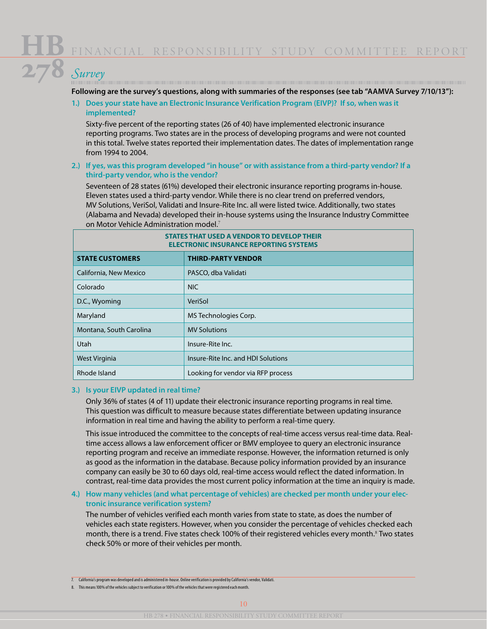**Following are the survey's questions, along with summaries of the responses (see tab "AAMVA Survey 7/10/13"):**

**1.) Does your state have an Electronic Insurance Verification Program (EIVP)? If so, when was it implemented?**

Sixty-five percent of the reporting states (26 of 40) have implemented electronic insurance reporting programs. Two states are in the process of developing programs and were not counted in this total. Twelve states reported their implementation dates. The dates of implementation range from 1994 to 2004.

#### **2.) If yes, was this program developed "in house" or with assistance from a third-party vendor? If a third-party vendor, who is the vendor?**

Seventeen of 28 states (61%) developed their electronic insurance reporting programs in-house. Eleven states used a third-party vendor. While there is no clear trend on preferred vendors, MV Solutions, VeriSol, Validati and Insure-Rite Inc. all were listed twice. Additionally, two states (Alabama and Nevada) developed their in-house systems using the Insurance Industry Committee on Motor Vehicle Administration model.<sup>7</sup>

| STATES THAT USED A VENDOR TO DEVELOP THEIR<br><b>ELECTRONIC INSURANCE REPORTING SYSTEMS</b> |                                    |  |
|---------------------------------------------------------------------------------------------|------------------------------------|--|
| <b>STATE CUSTOMERS</b>                                                                      | <b>THIRD-PARTY VENDOR</b>          |  |
| California, New Mexico                                                                      | PASCO, dba Validati                |  |
| Colorado                                                                                    | <b>NIC</b>                         |  |
| D.C., Wyoming                                                                               | VeriSol                            |  |
| Maryland                                                                                    | MS Technologies Corp.              |  |
| Montana, South Carolina                                                                     | <b>MV Solutions</b>                |  |
| Utah                                                                                        | Insure-Rite Inc.                   |  |
| West Virginia                                                                               | Insure-Rite Inc. and HDI Solutions |  |
| Rhode Island                                                                                | Looking for vendor via RFP process |  |

#### **3.) Is your EIVP updated in real time?**

Only 36% of states (4 of 11) update their electronic insurance reporting programs in real time. This question was difficult to measure because states differentiate between updating insurance information in real time and having the ability to perform a real-time query.

This issue introduced the committee to the concepts of real-time access versus real-time data. Realtime access allows a law enforcement officer or BMV employee to query an electronic insurance reporting program and receive an immediate response. However, the information returned is only as good as the information in the database. Because policy information provided by an insurance company can easily be 30 to 60 days old, real-time access would reflect the dated information. In contrast, real-time data provides the most current policy information at the time an inquiry is made.

#### **4.) How many vehicles (and what percentage of vehicles) are checked per month under your electronic insurance verification system?**

The number of vehicles verified each month varies from state to state, as does the number of vehicles each state registers. However, when you consider the percentage of vehicles checked each month, there is a trend. Five states check 100% of their registered vehicles every month.<sup>8</sup> Two states check 50% or more of their vehicles per month.

<sup>7.</sup> California's program was developed and is administered in-house. Online verification is provided by California's vendor, Validati.

<sup>8.</sup> This means 100% of the vehicles subject to verification or 100% of the vehicles that were registered each month.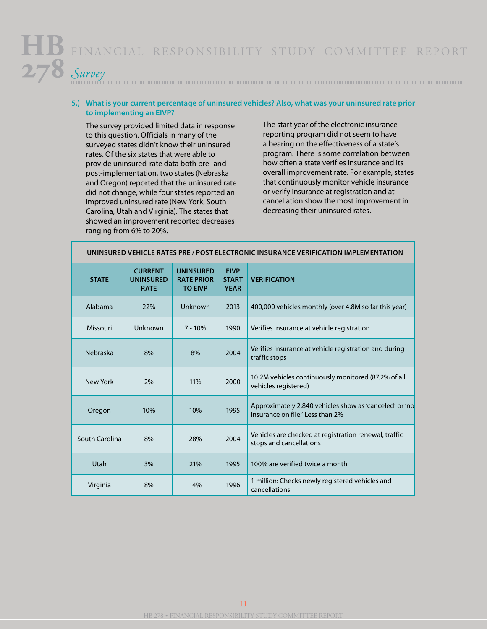#### **5.) What is your current percentage of uninsured vehicles? Also, what was your uninsured rate prior to implementing an EIVP?**

The survey provided limited data in response to this question. Officials in many of the surveyed states didn't know their uninsured rates. Of the six states that were able to provide uninsured-rate data both pre- and post-implementation, two states (Nebraska and Oregon) reported that the uninsured rate did not change, while four states reported an improved uninsured rate (New York, South Carolina, Utah and Virginia). The states that showed an improvement reported decreases ranging from 6% to 20%.

The start year of the electronic insurance reporting program did not seem to have a bearing on the effectiveness of a state's program. There is some correlation between how often a state verifies insurance and its overall improvement rate. For example, states that continuously monitor vehicle insurance or verify insurance at registration and at cancellation show the most improvement in decreasing their uninsured rates.

| UNINSURED VEHICLE RATES PRE / POST ELECTRONIC INSURANCE VERIFICATION IMPLEMENTATION |                                                   |                                                         |                                            |                                                                                            |
|-------------------------------------------------------------------------------------|---------------------------------------------------|---------------------------------------------------------|--------------------------------------------|--------------------------------------------------------------------------------------------|
| <b>STATE</b>                                                                        | <b>CURRENT</b><br><b>UNINSURED</b><br><b>RATE</b> | <b>UNINSURED</b><br><b>RATE PRIOR</b><br><b>TO EIVP</b> | <b>EIVP</b><br><b>START</b><br><b>YEAR</b> | <b>VERIFICATION</b>                                                                        |
| Alabama                                                                             | 22%                                               | Unknown                                                 | 2013                                       | 400,000 vehicles monthly (over 4.8M so far this year)                                      |
| Missouri                                                                            | Unknown                                           | $7 - 10%$                                               | 1990                                       | Verifies insurance at vehicle registration                                                 |
| Nebraska                                                                            | 8%                                                | 8%                                                      | 2004                                       | Verifies insurance at vehicle registration and during<br>traffic stops                     |
| New York                                                                            | 2%                                                | 11%                                                     | 2000                                       | 10.2M vehicles continuously monitored (87.2% of all<br>vehicles registered)                |
| Oregon                                                                              | 10%                                               | 10%                                                     | 1995                                       | Approximately 2,840 vehicles show as 'canceled' or 'no<br>insurance on file.' Less than 2% |
| South Carolina                                                                      | 8%                                                | 28%                                                     | 2004                                       | Vehicles are checked at registration renewal, traffic<br>stops and cancellations           |
| Utah                                                                                | 3%                                                | 21%                                                     | 1995                                       | 100% are verified twice a month                                                            |
| Virginia                                                                            | 8%                                                | 14%                                                     | 1996                                       | 1 million: Checks newly registered vehicles and<br>cancellations                           |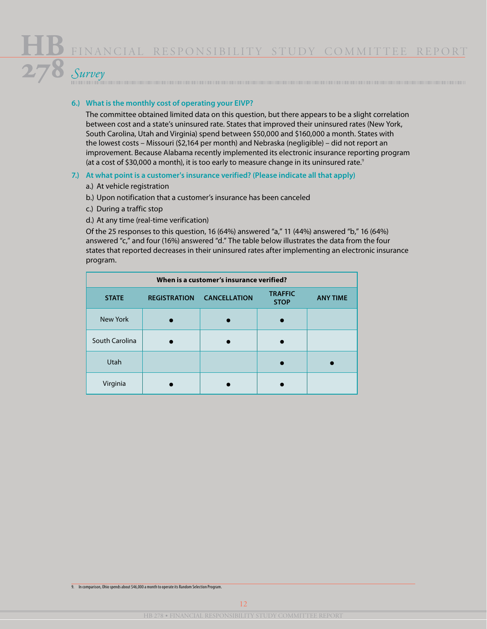## *Survey*

#### **6.) What is the monthly cost of operating your EIVP?**

The committee obtained limited data on this question, but there appears to be a slight correlation between cost and a state's uninsured rate. States that improved their uninsured rates (New York, South Carolina, Utah and Virginia) spend between \$50,000 and \$160,000 a month. States with the lowest costs – Missouri (\$2,164 per month) and Nebraska (negligible) – did not report an improvement. Because Alabama recently implemented its electronic insurance reporting program (at a cost of \$30,000 a month), it is too early to measure change in its uninsured rate.<sup>9</sup>

#### **7.) At what point is a customer's insurance verified? (Please indicate all that apply)**

- a.) At vehicle registration
- b.) Upon notification that a customer's insurance has been canceled
- c.) During a traffic stop
- d.) At any time (real-time verification)

Of the 25 responses to this question, 16 (64%) answered "a," 11 (44%) answered "b," 16 (64%) answered "c," and four (16%) answered "d." The table below illustrates the data from the four states that reported decreases in their uninsured rates after implementing an electronic insurance program.

| When is a customer's insurance verified? |                     |                     |                               |                 |
|------------------------------------------|---------------------|---------------------|-------------------------------|-----------------|
| <b>STATE</b>                             | <b>REGISTRATION</b> | <b>CANCELLATION</b> | <b>TRAFFIC</b><br><b>STOP</b> | <b>ANY TIME</b> |
| New York                                 |                     |                     |                               |                 |
| South Carolina                           |                     |                     |                               |                 |
| Utah                                     |                     |                     |                               |                 |
| Virginia                                 |                     |                     |                               |                 |

9. In comparison, Ohio spends about \$46,000 a month to operate its Random Selection Program.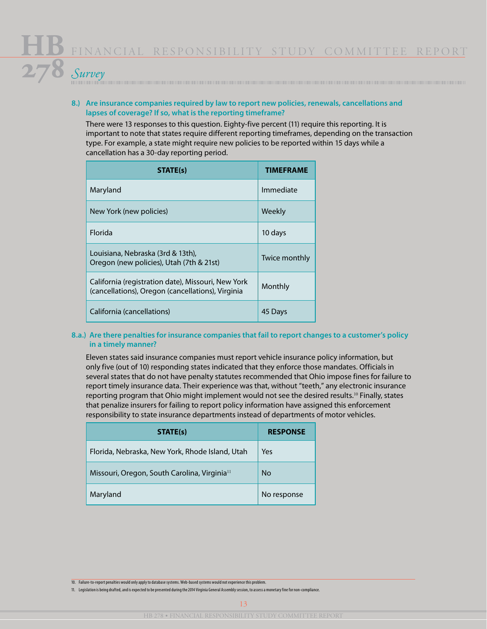#### **8.) Are insurance companies required by law to report new policies, renewals, cancellations and lapses of coverage? If so, what is the reporting timeframe?**

There were 13 responses to this question. Eighty-five percent (11) require this reporting. It is important to note that states require different reporting timeframes, depending on the transaction type. For example, a state might require new policies to be reported within 15 days while a cancellation has a 30-day reporting period.

| STATE(s)                                                                                                | <b>TIMEFRAMF</b> |
|---------------------------------------------------------------------------------------------------------|------------------|
| Maryland                                                                                                | Immediate        |
| New York (new policies)                                                                                 | Weekly           |
| <b>Florida</b>                                                                                          | 10 days          |
| Louisiana, Nebraska (3rd & 13th),<br>Oregon (new policies), Utah (7th & 21st)                           | Twice monthly    |
| California (registration date), Missouri, New York<br>(cancellations), Oregon (cancellations), Virginia | Monthly          |
| California (cancellations)                                                                              | 45 Days          |

#### **8.a.) Are there penalties for insurance companies that fail to report changes to a customer's policy in a timely manner?**

Eleven states said insurance companies must report vehicle insurance policy information, but only five (out of 10) responding states indicated that they enforce those mandates. Officials in several states that do not have penalty statutes recommended that Ohio impose fines for failure to report timely insurance data. Their experience was that, without "teeth," any electronic insurance reporting program that Ohio might implement would not see the desired results.<sup>10</sup> Finally, states that penalize insurers for failing to report policy information have assigned this enforcement responsibility to state insurance departments instead of departments of motor vehicles.

| STATE(s)                                                 | <b>RESPONSE</b> |
|----------------------------------------------------------|-----------------|
| Florida, Nebraska, New York, Rhode Island, Utah          | Yes             |
| Missouri, Oregon, South Carolina, Virginia <sup>11</sup> | <b>No</b>       |
| Maryland                                                 | No response     |

10. Failure-to-report penalties would only apply to database systems. Web-based systems would not experience this problem.

11. Legislation is being drafted, and is expected to be presented during the 2014 Virginia General Assembly session, to assess a monetary fine for non-compliance.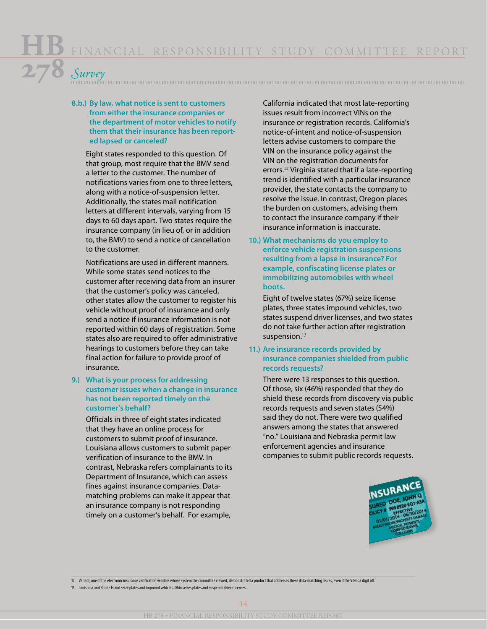#### **8.b.) By law, what notice is sent to customers from either the insurance companies or the department of motor vehicles to notify them that their insurance has been reported lapsed or canceled?**

Eight states responded to this question. Of that group, most require that the BMV send a letter to the customer. The number of notifications varies from one to three letters, along with a notice-of-suspension letter. Additionally, the states mail notification letters at different intervals, varying from 15 days to 60 days apart. Two states require the insurance company (in lieu of, or in addition to, the BMV) to send a notice of cancellation to the customer.

Notifications are used in different manners. While some states send notices to the customer after receiving data from an insurer that the customer's policy was canceled, other states allow the customer to register his vehicle without proof of insurance and only send a notice if insurance information is not reported within 60 days of registration. Some states also are required to offer administrative hearings to customers before they can take final action for failure to provide proof of insurance.

#### **9.) What is your process for addressing customer issues when a change in insurance has not been reported timely on the customer's behalf?**

Officials in three of eight states indicated that they have an online process for customers to submit proof of insurance. Louisiana allows customers to submit paper verification of insurance to the BMV. In contrast, Nebraska refers complainants to its Department of Insurance, which can assess fines against insurance companies. Datamatching problems can make it appear that an insurance company is not responding timely on a customer's behalf. For example,

California indicated that most late-reporting issues result from incorrect VINs on the insurance or registration records. California's notice-of-intent and notice-of-suspension letters advise customers to compare the VIN on the insurance policy against the VIN on the registration documents for errors.<sup>12</sup> Virginia stated that if a late-reporting trend is identified with a particular insurance provider, the state contacts the company to resolve the issue. In contrast, Oregon places the burden on customers, advising them to contact the insurance company if their insurance information is inaccurate.

**10.) What mechanisms do you employ to enforce vehicle registration suspensions resulting from a lapse in insurance? For example, confiscating license plates or immobilizing automobiles with wheel boots.**

Eight of twelve states (67%) seize license plates, three states impound vehicles, two states suspend driver licenses, and two states do not take further action after registration suspension.<sup>13</sup>

#### **11.) Are insurance records provided by insurance companies shielded from public records requests?**

There were 13 responses to this question. Of those, six (46%) responded that they do shield these records from discovery via public records requests and seven states (54%) said they do not. There were two qualified answers among the states that answered "no." Louisiana and Nebraska permit law enforcement agencies and insurance companies to submit public records requests.



12. VeriSol, one of the electronic insurance verification vendors whose system the committee viewed, demonstrated a product that addresses these data-matching issues, even if the VIN is a digit off.

13. Louisiana and Rhode Island seize plates and impound vehicles. Ohio seizes plates and suspends driver licenses.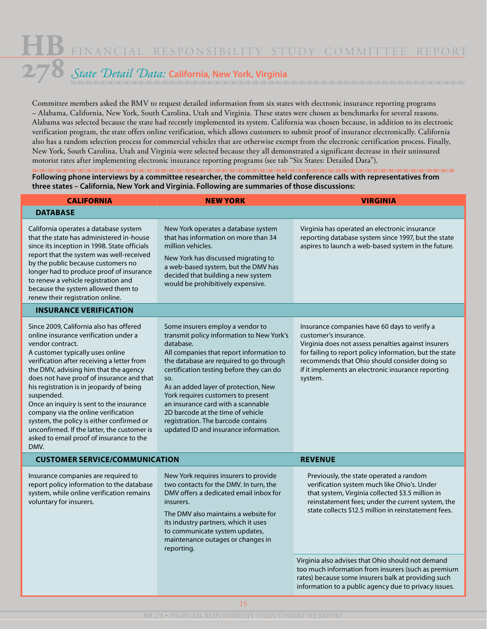## *State Detail Data:* **California, New York, Virginia**

Committee members asked the BMV to request detailed information from six states with electronic insurance reporting programs – Alabama, California, New York, South Carolina, Utah and Virginia. These states were chosen as benchmarks for several reasons. Alabama was selected because the state had recently implemented its system. California was chosen because, in addition to its electronic verification program, the state offers online verification, which allows customers to submit proof of insurance electronically. California also has a random selection process for commercial vehicles that are otherwise exempt from the electronic certification process. Finally, New York, South Carolina, Utah and Virginia were selected because they all demonstrated a significant decrease in their uninsured motorist rates after implementing electronic insurance reporting programs (see tab "Six States: Detailed Data").

**Following phone interviews by a committee researcher, the committee held conference calls with representatives from three states – California, New York and Virginia. Following are summaries of those discussions:**

| <b>CALIFORNIA</b>                                                                                                                                                                                                                                                                                                                                                                                                                                                                                                                                                         | <b>NEW YORK</b>                                                                                                                                                                                                                                                                                                                                                                                                                                                              | <b>VIRGINIA</b>                                                                                                                                                                                                                                                                                           |
|---------------------------------------------------------------------------------------------------------------------------------------------------------------------------------------------------------------------------------------------------------------------------------------------------------------------------------------------------------------------------------------------------------------------------------------------------------------------------------------------------------------------------------------------------------------------------|------------------------------------------------------------------------------------------------------------------------------------------------------------------------------------------------------------------------------------------------------------------------------------------------------------------------------------------------------------------------------------------------------------------------------------------------------------------------------|-----------------------------------------------------------------------------------------------------------------------------------------------------------------------------------------------------------------------------------------------------------------------------------------------------------|
| <b>DATABASE</b>                                                                                                                                                                                                                                                                                                                                                                                                                                                                                                                                                           |                                                                                                                                                                                                                                                                                                                                                                                                                                                                              |                                                                                                                                                                                                                                                                                                           |
| California operates a database system<br>that the state has administered in-house<br>since its inception in 1998. State officials<br>report that the system was well-received<br>by the public because customers no<br>longer had to produce proof of insurance<br>to renew a vehicle registration and<br>because the system allowed them to<br>renew their registration online.                                                                                                                                                                                          | New York operates a database system<br>that has information on more than 34<br>million vehicles.<br>New York has discussed migrating to<br>a web-based system, but the DMV has<br>decided that building a new system<br>would be prohibitively expensive.                                                                                                                                                                                                                    | Virginia has operated an electronic insurance<br>reporting database system since 1997, but the state<br>aspires to launch a web-based system in the future.                                                                                                                                               |
| <b>INSURANCE VERIFICATION</b>                                                                                                                                                                                                                                                                                                                                                                                                                                                                                                                                             |                                                                                                                                                                                                                                                                                                                                                                                                                                                                              |                                                                                                                                                                                                                                                                                                           |
| Since 2009, California also has offered<br>online insurance verification under a<br>vendor contract.<br>A customer typically uses online<br>verification after receiving a letter from<br>the DMV, advising him that the agency<br>does not have proof of insurance and that<br>his registration is in jeopardy of being<br>suspended.<br>Once an inquiry is sent to the insurance<br>company via the online verification<br>system, the policy is either confirmed or<br>unconfirmed. If the latter, the customer is<br>asked to email proof of insurance to the<br>DMV. | Some insurers employ a vendor to<br>transmit policy information to New York's<br>database.<br>All companies that report information to<br>the database are required to go through<br>certification testing before they can do<br>SO.<br>As an added layer of protection, New<br>York requires customers to present<br>an insurance card with a scannable<br>2D barcode at the time of vehicle<br>registration. The barcode contains<br>updated ID and insurance information. | Insurance companies have 60 days to verify a<br>customer's insurance.<br>Virginia does not assess penalties against insurers<br>for failing to report policy information, but the state<br>recommends that Ohio should consider doing so<br>if it implements an electronic insurance reporting<br>system. |
| <b>CUSTOMER SERVICE/COMMUNICATION</b>                                                                                                                                                                                                                                                                                                                                                                                                                                                                                                                                     |                                                                                                                                                                                                                                                                                                                                                                                                                                                                              | <b>REVENUE</b>                                                                                                                                                                                                                                                                                            |
| Insurance companies are required to<br>New York requires insurers to provide<br>report policy information to the database<br>two contacts for the DMV. In turn, the<br>system, while online verification remains<br>DMV offers a dedicated email inbox for<br>voluntary for insurers.<br>insurers.<br>The DMV also maintains a website for<br>its industry partners, which it uses<br>to communicate system updates,<br>maintenance outages or changes in<br>reporting.                                                                                                   |                                                                                                                                                                                                                                                                                                                                                                                                                                                                              | Previously, the state operated a random<br>verification system much like Ohio's. Under<br>that system, Virginia collected \$3.5 million in<br>reinstatement fees; under the current system, the<br>state collects \$12.5 million in reinstatement fees.                                                   |
|                                                                                                                                                                                                                                                                                                                                                                                                                                                                                                                                                                           |                                                                                                                                                                                                                                                                                                                                                                                                                                                                              | Virginia also advises that Ohio should not demand<br>too much information from insurers (such as premium<br>rates) because some insurers balk at providing such<br>information to a public agency due to privacy issues.                                                                                  |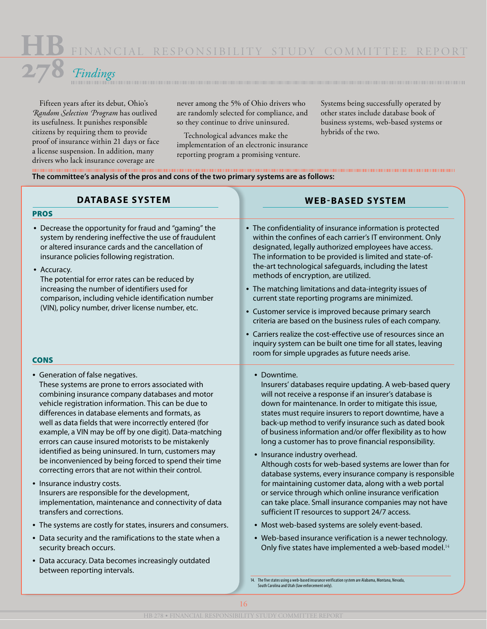## *Findings*

Fifteen years after its debut, Ohio's *Random Selection Program* has outlived its usefulness. It punishes responsible citizens by requiring them to provide proof of insurance within 21 days or face a license suspension. In addition, many drivers who lack insurance coverage are

never among the 5% of Ohio drivers who are randomly selected for compliance, and so they continue to drive uninsured.

Technological advances make the implementation of an electronic insurance reporting program a promising venture.

Systems being successfully operated by other states include database book of business systems, web-based systems or hybrids of the two.

#### **The committee's analysis of the pros and cons of the two primary systems are as follows:**

| • The confidentiality of insurance information is protected<br>within the confines of each carrier's IT environment. Only<br>designated, legally authorized employees have access.<br>The information to be provided is limited and state-of-<br>the-art technological safeguards, including the latest<br>methods of encryption, are utilized.<br>• The matching limitations and data-integrity issues of<br>current state reporting programs are minimized.<br>• Customer service is improved because primary search<br>criteria are based on the business rules of each company.<br>• Carriers realize the cost-effective use of resources since an<br>inquiry system can be built one time for all states, leaving<br>room for simple upgrades as future needs arise.                                                                                                                                                                                                                                                |
|--------------------------------------------------------------------------------------------------------------------------------------------------------------------------------------------------------------------------------------------------------------------------------------------------------------------------------------------------------------------------------------------------------------------------------------------------------------------------------------------------------------------------------------------------------------------------------------------------------------------------------------------------------------------------------------------------------------------------------------------------------------------------------------------------------------------------------------------------------------------------------------------------------------------------------------------------------------------------------------------------------------------------|
| • Downtime.<br>Insurers' databases require updating. A web-based query<br>will not receive a response if an insurer's database is<br>down for maintenance. In order to mitigate this issue,<br>states must require insurers to report downtime, have a<br>back-up method to verify insurance such as dated book<br>of business information and/or offer flexibility as to how<br>long a customer has to prove financial responsibility.<br>• Insurance industry overhead.<br>Although costs for web-based systems are lower than for<br>database systems, every insurance company is responsible<br>for maintaining customer data, along with a web portal<br>or service through which online insurance verification<br>can take place. Small insurance companies may not have<br>sufficient IT resources to support 24/7 access.<br>• Most web-based systems are solely event-based.<br>• Web-based insurance verification is a newer technology.<br>Only five states have implemented a web-based model. <sup>14</sup> |
| 14. The five states using a web-based insurance verification system are Alabama, Montana, Nevada,                                                                                                                                                                                                                                                                                                                                                                                                                                                                                                                                                                                                                                                                                                                                                                                                                                                                                                                        |